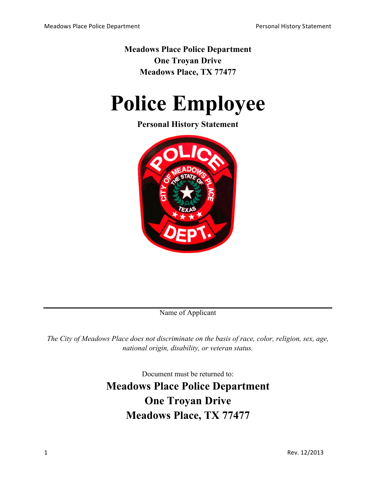**Meadows Place Police Department One Troyan Drive Meadows Place, TX 77477**

# **Police Employee**

# **Personal History Statement**



Name of Applicant

*The City of Meadows Place does not discriminate on the basis of race, color, religion, sex, age, national origin, disability, or veteran status.*

Document must be returned to:

**Meadows Place Police Department One Troyan Drive Meadows Place, TX 77477**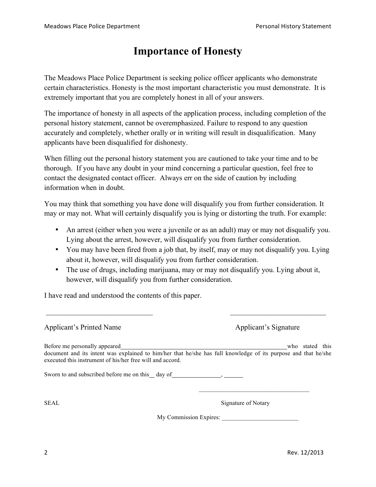# **Importance of Honesty**

The Meadows Place Police Department is seeking police officer applicants who demonstrate certain characteristics. Honesty is the most important characteristic you must demonstrate. It is extremely important that you are completely honest in all of your answers.

The importance of honesty in all aspects of the application process, including completion of the personal history statement, cannot be overemphasized. Failure to respond to any question accurately and completely, whether orally or in writing will result in disqualification. Many applicants have been disqualified for dishonesty.

When filling out the personal history statement you are cautioned to take your time and to be thorough. If you have any doubt in your mind concerning a particular question, feel free to contact the designated contact officer. Always err on the side of caution by including information when in doubt.

You may think that something you have done will disqualify you from further consideration. It may or may not. What will certainly disqualify you is lying or distorting the truth. For example:

- An arrest (either when you were a juvenile or as an adult) may or may not disqualify you. Lying about the arrest, however, will disqualify you from further consideration.
- You may have been fired from a job that, by itself, may or may not disqualify you. Lying about it, however, will disqualify you from further consideration.
- The use of drugs, including marijuana, may or may not disqualify you. Lying about it, however, will disqualify you from further consideration.

 $\mathcal{L}_\text{max}$  , and the contribution of the contribution of the contribution of the contribution of the contribution of the contribution of the contribution of the contribution of the contribution of the contribution of t

I have read and understood the contents of this paper.

| <b>Applicant's Printed Name</b>                                                                                                                                                                                                                                  | Applicant's Signature |  |  |  |
|------------------------------------------------------------------------------------------------------------------------------------------------------------------------------------------------------------------------------------------------------------------|-----------------------|--|--|--|
| Before me personally appeared<br>document and its intent was explained to him/her that he/she has full knowledge of its purpose and that he/she<br>executed this instrument of his/her free will and accord.<br>Sworn to and subscribed before me on this day of | stated this<br>who    |  |  |  |
| SEAL                                                                                                                                                                                                                                                             | Signature of Notary   |  |  |  |

My Commission Expires: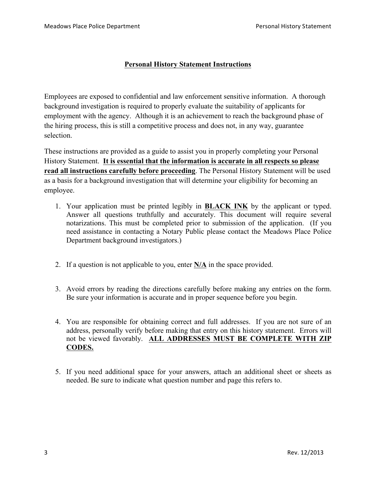#### **Personal History Statement Instructions**

Employees are exposed to confidential and law enforcement sensitive information. A thorough background investigation is required to properly evaluate the suitability of applicants for employment with the agency. Although it is an achievement to reach the background phase of the hiring process, this is still a competitive process and does not, in any way, guarantee selection.

These instructions are provided as a guide to assist you in properly completing your Personal History Statement. **It is essential that the information is accurate in all respects so please read all instructions carefully before proceeding**. The Personal History Statement will be used as a basis for a background investigation that will determine your eligibility for becoming an employee.

- 1. Your application must be printed legibly in **BLACK INK** by the applicant or typed. Answer all questions truthfully and accurately. This document will require several notarizations. This must be completed prior to submission of the application. (If you need assistance in contacting a Notary Public please contact the Meadows Place Police Department background investigators.)
- 2. If a question is not applicable to you, enter **N/A** in the space provided.
- 3. Avoid errors by reading the directions carefully before making any entries on the form. Be sure your information is accurate and in proper sequence before you begin.
- 4. You are responsible for obtaining correct and full addresses. If you are not sure of an address, personally verify before making that entry on this history statement. Errors will not be viewed favorably. **ALL ADDRESSES MUST BE COMPLETE WITH ZIP CODES.**
- 5. If you need additional space for your answers, attach an additional sheet or sheets as needed. Be sure to indicate what question number and page this refers to.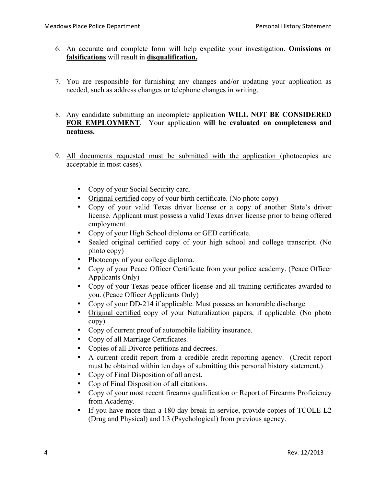- 6. An accurate and complete form will help expedite your investigation. **Omissions or falsifications** will result in **disqualification.**
- 7. You are responsible for furnishing any changes and/or updating your application as needed, such as address changes or telephone changes in writing.
- 8. Any candidate submitting an incomplete application **WILL NOT BE CONSIDERED FOR EMPLOYMENT**. Your application **will be evaluated on completeness and neatness.**
- 9. All documents requested must be submitted with the application (photocopies are acceptable in most cases).
	- Copy of your Social Security card.
	- Original certified copy of your birth certificate. (No photo copy)
	- Copy of your valid Texas driver license or a copy of another State's driver license. Applicant must possess a valid Texas driver license prior to being offered employment.
	- Copy of your High School diploma or GED certificate.
	- Sealed original certified copy of your high school and college transcript. (No photo copy)
	- Photocopy of your college diploma.
	- Copy of your Peace Officer Certificate from your police academy. (Peace Officer Applicants Only)
	- Copy of your Texas peace officer license and all training certificates awarded to you. (Peace Officer Applicants Only)
	- Copy of your DD-214 if applicable. Must possess an honorable discharge.
	- Original certified copy of your Naturalization papers, if applicable. (No photo copy)
	- Copy of current proof of automobile liability insurance.
	- Copy of all Marriage Certificates.
	- Copies of all Divorce petitions and decrees.
	- A current credit report from a credible credit reporting agency. (Credit report must be obtained within ten days of submitting this personal history statement.)
	- Copy of Final Disposition of all arrest.
	- Cop of Final Disposition of all citations.
	- Copy of your most recent firearms qualification or Report of Firearms Proficiency from Academy.
	- If you have more than a 180 day break in service, provide copies of TCOLE L2 (Drug and Physical) and L3 (Psychological) from previous agency.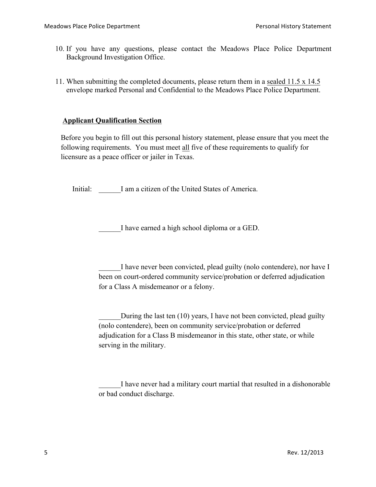- 10. If you have any questions, please contact the Meadows Place Police Department Background Investigation Office.
- 11. When submitting the completed documents, please return them in a sealed 11.5 x 14.5 envelope marked Personal and Confidential to the Meadows Place Police Department.

#### **Applicant Qualification Section**

Before you begin to fill out this personal history statement, please ensure that you meet the following requirements. You must meet all five of these requirements to qualify for licensure as a peace officer or jailer in Texas.

Initial: I am a citizen of the United States of America.

I have earned a high school diploma or a GED.

I have never been convicted, plead guilty (nolo contendere), nor have I been on court-ordered community service/probation or deferred adjudication for a Class A misdemeanor or a felony.

During the last ten (10) years, I have not been convicted, plead guilty (nolo contendere), been on community service/probation or deferred adjudication for a Class B misdemeanor in this state, other state, or while serving in the military.

I have never had a military court martial that resulted in a dishonorable or bad conduct discharge.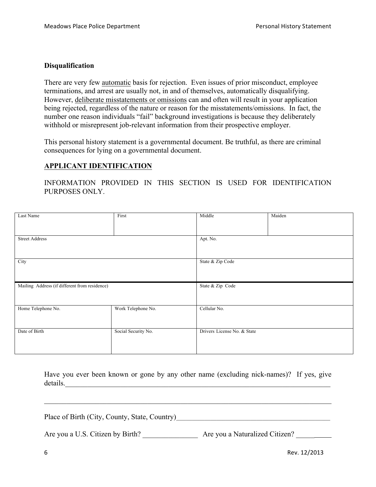#### **Disqualification**

There are very few automatic basis for rejection. Even issues of prior misconduct, employee terminations, and arrest are usually not, in and of themselves, automatically disqualifying. However, deliberate misstatements or omissions can and often will result in your application being rejected, regardless of the nature or reason for the misstatements/omissions. In fact, the number one reason individuals "fail" background investigations is because they deliberately withhold or misrepresent job-relevant information from their prospective employer.

This personal history statement is a governmental document. Be truthful, as there are criminal consequences for lying on a governmental document.

#### **APPLICANT IDENTIFICATION**

INFORMATION PROVIDED IN THIS SECTION IS USED FOR IDENTIFICATION PURPOSES ONLY.

| Last Name                                     | First               | Middle                      | Maiden |
|-----------------------------------------------|---------------------|-----------------------------|--------|
| <b>Street Address</b>                         |                     | Apt. No.                    |        |
| City                                          |                     | State & Zip Code            |        |
| Mailing Address (if different from residence) |                     | State & Zip Code            |        |
| Home Telephone No.                            | Work Telephone No.  | Cellular No.                |        |
| Date of Birth                                 | Social Security No. | Drivers License No. & State |        |

Have you ever been known or gone by any other name (excluding nick-names)? If yes, give details.

Place of Birth (City, County, State, Country)\_\_\_\_\_\_\_\_\_\_\_\_\_\_\_\_\_\_\_\_\_\_\_\_\_\_\_\_\_\_\_\_\_\_\_\_\_\_\_\_\_\_\_\_\_\_\_\_\_\_

Are you a U.S. Citizen by Birth? Are you a Naturalized Citizen?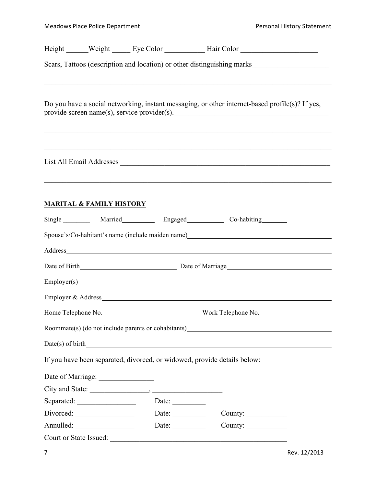|                                     |                        | Height ______ Weight ______ Eye Color ____________ Hair Color __________________                                                                                                                                                                                                                                    |
|-------------------------------------|------------------------|---------------------------------------------------------------------------------------------------------------------------------------------------------------------------------------------------------------------------------------------------------------------------------------------------------------------|
|                                     |                        | Scars, Tattoos (description and location) or other distinguishing marks                                                                                                                                                                                                                                             |
|                                     |                        | Do you have a social networking, instant messaging, or other internet-based profile(s)? If yes,<br>provide screen name(s), service provider(s).                                                                                                                                                                     |
|                                     |                        | ,我们也不能在这里的人,我们也不能在这里的人,我们也不能在这里的人,我们也不能在这里的人,我们也不能在这里的人,我们也不能在这里的人,我们也不能在这里的人,我们也<br>List All Email Addresses and the contract of the contract of the contract of the contract of the contract of the contract of the contract of the contract of the contract of the contract of the contract of the contract of t |
| <b>MARITAL &amp; FAMILY HISTORY</b> |                        |                                                                                                                                                                                                                                                                                                                     |
|                                     |                        | Single _________ Married ________ Engaged _________ Co-habiting _______                                                                                                                                                                                                                                             |
|                                     |                        | Spouse's/Co-habitant's name (include maiden name) _______________________________                                                                                                                                                                                                                                   |
|                                     |                        |                                                                                                                                                                                                                                                                                                                     |
|                                     |                        |                                                                                                                                                                                                                                                                                                                     |
|                                     |                        | Employer(s) example and the state of the state of the state of the state of the state of the state of the state of the state of the state of the state of the state of the state of the state of the state of the state of the                                                                                      |
|                                     |                        |                                                                                                                                                                                                                                                                                                                     |
|                                     |                        |                                                                                                                                                                                                                                                                                                                     |
|                                     |                        | Home Telephone No. No. No. 2008 Work Telephone No. 2008. 2009. 2010. 2010. 2011. 2012. 2013. 2014. 2015. 2016. 2017. 2018. 2019. 2017. 2018. 2019. 2017. 2018. 2019. 2019. 2019. 2019. 2019. 2019. 2019. 2019. 2019. 2019. 201                                                                                      |
|                                     |                        | Roommate(s) (do not include parents or cohabitants)                                                                                                                                                                                                                                                                 |
|                                     |                        | $Date(s)$ of birth $\qquad \qquad$                                                                                                                                                                                                                                                                                  |
|                                     |                        | If you have been separated, divorced, or widowed, provide details below:                                                                                                                                                                                                                                            |
|                                     |                        |                                                                                                                                                                                                                                                                                                                     |
|                                     |                        |                                                                                                                                                                                                                                                                                                                     |
|                                     | Date: $\qquad \qquad$  |                                                                                                                                                                                                                                                                                                                     |
| Divorced:                           |                        | Date: $\frac{1}{\sqrt{1-\frac{1}{2}} \cdot \frac{1}{2}}$                                                                                                                                                                                                                                                            |
|                                     |                        | Date: $\frac{1}{\sqrt{1-\frac{1}{2}} \cdot \frac{1}{2}}$<br>County: $\qquad \qquad$                                                                                                                                                                                                                                 |
|                                     | Court or State Issued: |                                                                                                                                                                                                                                                                                                                     |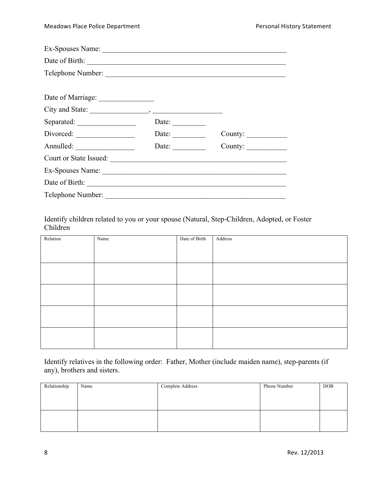| Telephone Number:                  |                       |                |
|------------------------------------|-----------------------|----------------|
|                                    |                       |                |
| Date of Marriage: ________________ |                       |                |
|                                    |                       |                |
| Separated:                         | Date: $\_\_$          |                |
|                                    | Date:                 | County: $\_\_$ |
|                                    | Date: $\qquad \qquad$ | County:        |
| Court or State Issued:             |                       |                |
|                                    |                       |                |
|                                    |                       |                |
| Telephone Number:                  |                       |                |

Identify children related to you or your spouse (Natural, Step-Children, Adopted, or Foster Children

| Relation | Name | Date of Birth | Address |
|----------|------|---------------|---------|
|          |      |               |         |
|          |      |               |         |
|          |      |               |         |
|          |      |               |         |
|          |      |               |         |
|          |      |               |         |
|          |      |               |         |
|          |      |               |         |
|          |      |               |         |
|          |      |               |         |
|          |      |               |         |
|          |      |               |         |
|          |      |               |         |
|          |      |               |         |
|          |      |               |         |

Identify relatives in the following order: Father, Mother (include maiden name), step-parents (if any), brothers and sisters.

| Relationship | Name | Complete Address | Phone Number | <b>DOB</b> |
|--------------|------|------------------|--------------|------------|
|              |      |                  |              |            |
|              |      |                  |              |            |
|              |      |                  |              |            |
|              |      |                  |              |            |
|              |      |                  |              |            |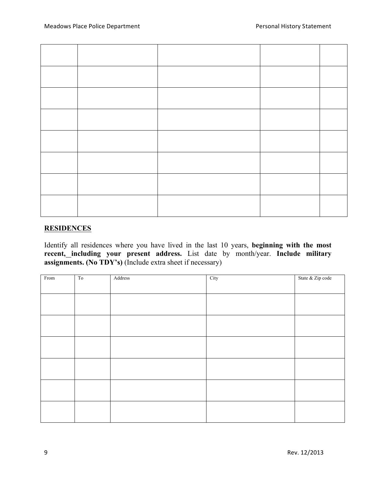#### **RESIDENCES**

Identify all residences where you have lived in the last 10 years, **beginning with the most recent, including your present address.** List date by month/year. **Include military assignments. (No TDY's)** (Include extra sheet if necessary)

| From | To | Address | City | State & Zip code |
|------|----|---------|------|------------------|
|      |    |         |      |                  |
|      |    |         |      |                  |
|      |    |         |      |                  |
|      |    |         |      |                  |
|      |    |         |      |                  |
|      |    |         |      |                  |
|      |    |         |      |                  |
|      |    |         |      |                  |
|      |    |         |      |                  |
|      |    |         |      |                  |
|      |    |         |      |                  |
|      |    |         |      |                  |
|      |    |         |      |                  |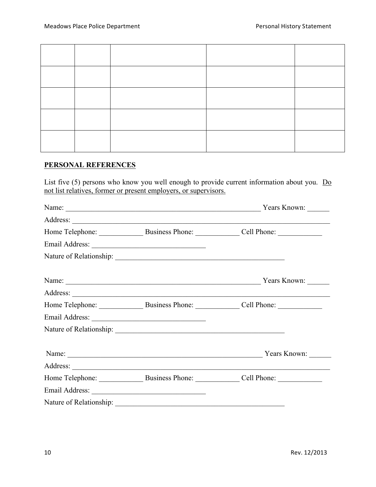#### **PERSONAL REFERENCES**

List five (5) persons who know you well enough to provide current information about you. Do not list relatives, former or present employers, or supervisors.

|                | Name: Vears Known:                                      |
|----------------|---------------------------------------------------------|
|                |                                                         |
|                | Home Telephone: Business Phone: Cell Phone: Cell Phone: |
| Email Address: |                                                         |
|                |                                                         |
|                | Name: Vears Known:                                      |
|                |                                                         |
|                | Home Telephone: Business Phone: Cell Phone:             |
|                |                                                         |
|                |                                                         |
|                | Name: Years Known:                                      |
|                |                                                         |
|                | Home Telephone: Business Phone: Cell Phone: Cell Phone: |
|                |                                                         |
|                |                                                         |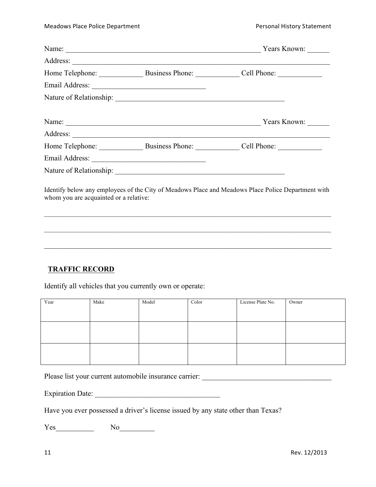|  | Name: Vears Known:                                                                                 |
|--|----------------------------------------------------------------------------------------------------|
|  |                                                                                                    |
|  | Home Telephone: Business Phone: Cell Phone: Cell Phone:                                            |
|  |                                                                                                    |
|  |                                                                                                    |
|  | Name: Vears Known:                                                                                 |
|  |                                                                                                    |
|  | Home Telephone: Business Phone: Cell Phone:                                                        |
|  |                                                                                                    |
|  |                                                                                                    |
|  | Identify below any employees of the City of Meadows Place and Meadows Place Police Department with |

whom you are acquainted or a relative:

 $\mathcal{L}_\text{max}$  , and the contribution of the contribution of the contribution of the contribution of the contribution of the contribution of the contribution of the contribution of the contribution of the contribution of t

 $\mathcal{L}_\mathcal{L} = \{ \mathcal{L}_\mathcal{L} = \{ \mathcal{L}_\mathcal{L} = \{ \mathcal{L}_\mathcal{L} = \{ \mathcal{L}_\mathcal{L} = \{ \mathcal{L}_\mathcal{L} = \{ \mathcal{L}_\mathcal{L} = \{ \mathcal{L}_\mathcal{L} = \{ \mathcal{L}_\mathcal{L} = \{ \mathcal{L}_\mathcal{L} = \{ \mathcal{L}_\mathcal{L} = \{ \mathcal{L}_\mathcal{L} = \{ \mathcal{L}_\mathcal{L} = \{ \mathcal{L}_\mathcal{L} = \{ \mathcal{L}_\mathcal{$ 

 $\mathcal{L}_\mathcal{L} = \{ \mathcal{L}_\mathcal{L} = \{ \mathcal{L}_\mathcal{L} = \{ \mathcal{L}_\mathcal{L} = \{ \mathcal{L}_\mathcal{L} = \{ \mathcal{L}_\mathcal{L} = \{ \mathcal{L}_\mathcal{L} = \{ \mathcal{L}_\mathcal{L} = \{ \mathcal{L}_\mathcal{L} = \{ \mathcal{L}_\mathcal{L} = \{ \mathcal{L}_\mathcal{L} = \{ \mathcal{L}_\mathcal{L} = \{ \mathcal{L}_\mathcal{L} = \{ \mathcal{L}_\mathcal{L} = \{ \mathcal{L}_\mathcal{$ 

#### **TRAFFIC RECORD**

Identify all vehicles that you currently own or operate:

| Year | Make | Model | Color | License Plate No. | Owner |
|------|------|-------|-------|-------------------|-------|
|      |      |       |       |                   |       |
|      |      |       |       |                   |       |
|      |      |       |       |                   |       |
|      |      |       |       |                   |       |
|      |      |       |       |                   |       |
|      |      |       |       |                   |       |
|      |      |       |       |                   |       |
|      |      |       |       |                   |       |

Please list your current automobile insurance carrier: \_\_\_\_\_\_\_\_\_\_\_\_\_\_\_\_\_\_\_\_\_\_\_\_\_

Expiration Date: \_\_\_\_\_\_\_\_\_\_\_\_\_\_\_\_\_\_\_\_\_\_\_\_\_\_\_\_\_\_\_\_\_\_

Have you ever possessed a driver's license issued by any state other than Texas?

Yes No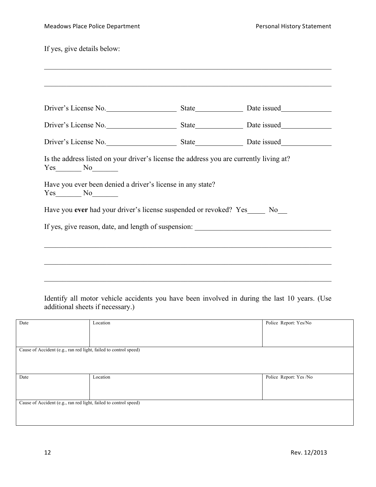If yes, give details below:

| Have you ever had your driver's license suspended or revoked? Yes ______ No____ |  |
|---------------------------------------------------------------------------------|--|

| Date                                                             | Location | Police Report: Yes/No  |
|------------------------------------------------------------------|----------|------------------------|
|                                                                  |          |                        |
|                                                                  |          |                        |
|                                                                  |          |                        |
| Cause of Accident (e.g., ran red light, failed to control speed) |          |                        |
|                                                                  |          |                        |
|                                                                  |          |                        |
|                                                                  |          |                        |
| Date                                                             | Location | Police Report: Yes /No |
|                                                                  |          |                        |
|                                                                  |          |                        |
|                                                                  |          |                        |
| Cause of Accident (e.g., ran red light, failed to control speed) |          |                        |
|                                                                  |          |                        |
|                                                                  |          |                        |
|                                                                  |          |                        |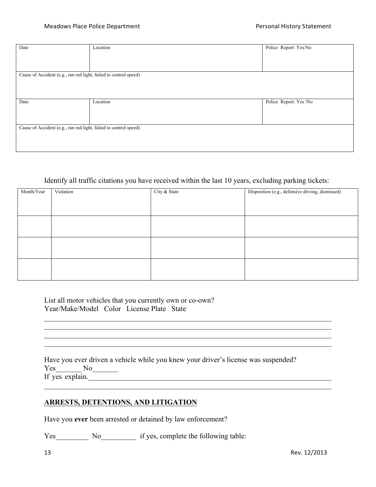| Date                                                             | Location | Police Report: Yes/No  |
|------------------------------------------------------------------|----------|------------------------|
|                                                                  |          |                        |
|                                                                  |          |                        |
|                                                                  |          |                        |
| Cause of Accident (e.g., ran red light, failed to control speed) |          |                        |
|                                                                  |          |                        |
|                                                                  |          |                        |
|                                                                  |          |                        |
| Date                                                             | Location | Police Report: Yes /No |
|                                                                  |          |                        |
|                                                                  |          |                        |
|                                                                  |          |                        |
| Cause of Accident (e.g., ran red light, failed to control speed) |          |                        |
|                                                                  |          |                        |
|                                                                  |          |                        |
|                                                                  |          |                        |

#### Identify all traffic citations you have received within the last 10 years, excluding parking tickets:

| Month/Year | Violation | City & State | Disposition (e.g., defensive driving, dismissed) |
|------------|-----------|--------------|--------------------------------------------------|
|            |           |              |                                                  |
|            |           |              |                                                  |
|            |           |              |                                                  |
|            |           |              |                                                  |
|            |           |              |                                                  |
|            |           |              |                                                  |
|            |           |              |                                                  |
|            |           |              |                                                  |
|            |           |              |                                                  |
|            |           |              |                                                  |
|            |           |              |                                                  |
|            |           |              |                                                  |

 $\mathcal{L}_\mathcal{L} = \{ \mathcal{L}_\mathcal{L} = \{ \mathcal{L}_\mathcal{L} = \{ \mathcal{L}_\mathcal{L} = \{ \mathcal{L}_\mathcal{L} = \{ \mathcal{L}_\mathcal{L} = \{ \mathcal{L}_\mathcal{L} = \{ \mathcal{L}_\mathcal{L} = \{ \mathcal{L}_\mathcal{L} = \{ \mathcal{L}_\mathcal{L} = \{ \mathcal{L}_\mathcal{L} = \{ \mathcal{L}_\mathcal{L} = \{ \mathcal{L}_\mathcal{L} = \{ \mathcal{L}_\mathcal{L} = \{ \mathcal{L}_\mathcal{$ \_\_\_\_\_\_\_\_\_\_\_\_\_\_\_\_\_\_\_\_\_\_\_\_\_\_\_\_\_\_\_\_\_\_\_\_\_\_\_\_\_\_\_\_\_\_\_\_\_\_\_\_\_\_\_\_\_\_\_\_\_\_\_\_\_\_\_\_\_\_\_\_\_\_\_\_\_\_  $\mathcal{L}_\mathcal{L} = \{ \mathcal{L}_\mathcal{L} = \{ \mathcal{L}_\mathcal{L} = \{ \mathcal{L}_\mathcal{L} = \{ \mathcal{L}_\mathcal{L} = \{ \mathcal{L}_\mathcal{L} = \{ \mathcal{L}_\mathcal{L} = \{ \mathcal{L}_\mathcal{L} = \{ \mathcal{L}_\mathcal{L} = \{ \mathcal{L}_\mathcal{L} = \{ \mathcal{L}_\mathcal{L} = \{ \mathcal{L}_\mathcal{L} = \{ \mathcal{L}_\mathcal{L} = \{ \mathcal{L}_\mathcal{L} = \{ \mathcal{L}_\mathcal{$  $\mathcal{L}_\mathcal{L} = \{ \mathcal{L}_\mathcal{L} = \{ \mathcal{L}_\mathcal{L} = \{ \mathcal{L}_\mathcal{L} = \{ \mathcal{L}_\mathcal{L} = \{ \mathcal{L}_\mathcal{L} = \{ \mathcal{L}_\mathcal{L} = \{ \mathcal{L}_\mathcal{L} = \{ \mathcal{L}_\mathcal{L} = \{ \mathcal{L}_\mathcal{L} = \{ \mathcal{L}_\mathcal{L} = \{ \mathcal{L}_\mathcal{L} = \{ \mathcal{L}_\mathcal{L} = \{ \mathcal{L}_\mathcal{L} = \{ \mathcal{L}_\mathcal{$ 

 $\mathcal{L}_\mathcal{L} = \{ \mathcal{L}_\mathcal{L} = \{ \mathcal{L}_\mathcal{L} = \{ \mathcal{L}_\mathcal{L} = \{ \mathcal{L}_\mathcal{L} = \{ \mathcal{L}_\mathcal{L} = \{ \mathcal{L}_\mathcal{L} = \{ \mathcal{L}_\mathcal{L} = \{ \mathcal{L}_\mathcal{L} = \{ \mathcal{L}_\mathcal{L} = \{ \mathcal{L}_\mathcal{L} = \{ \mathcal{L}_\mathcal{L} = \{ \mathcal{L}_\mathcal{L} = \{ \mathcal{L}_\mathcal{L} = \{ \mathcal{L}_\mathcal{$ 

List all motor vehicles that you currently own or co-own? Year/Make/Model Color License Plate State

|                 | Have you ever driven a vehicle while you knew your driver's license was suspended? |
|-----------------|------------------------------------------------------------------------------------|
| Yes No          |                                                                                    |
| If yes explain. |                                                                                    |

#### **ARRESTS, DETENTIONS, AND LITIGATION**

Have you **ever** been arrested or detained by law enforcement?

Yes No No if yes, complete the following table: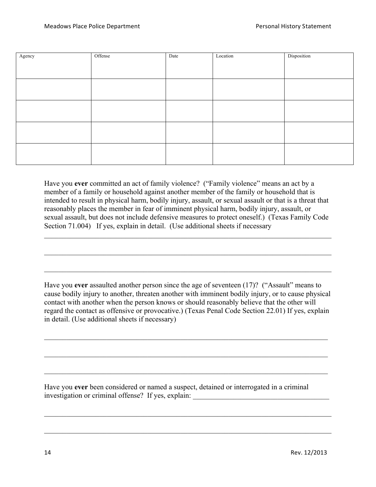| Agency | Offense | Date | Location | Disposition |
|--------|---------|------|----------|-------------|
|        |         |      |          |             |
|        |         |      |          |             |
|        |         |      |          |             |
|        |         |      |          |             |
|        |         |      |          |             |

Have you **ever** committed an act of family violence? ("Family violence" means an act by a member of a family or household against another member of the family or household that is intended to result in physical harm, bodily injury, assault, or sexual assault or that is a threat that reasonably places the member in fear of imminent physical harm, bodily injury, assault, or sexual assault, but does not include defensive measures to protect oneself.) (Texas Family Code Section 71.004) If yes, explain in detail. (Use additional sheets if necessary

 $\mathcal{L}_\mathcal{L} = \{ \mathcal{L}_\mathcal{L} = \{ \mathcal{L}_\mathcal{L} = \{ \mathcal{L}_\mathcal{L} = \{ \mathcal{L}_\mathcal{L} = \{ \mathcal{L}_\mathcal{L} = \{ \mathcal{L}_\mathcal{L} = \{ \mathcal{L}_\mathcal{L} = \{ \mathcal{L}_\mathcal{L} = \{ \mathcal{L}_\mathcal{L} = \{ \mathcal{L}_\mathcal{L} = \{ \mathcal{L}_\mathcal{L} = \{ \mathcal{L}_\mathcal{L} = \{ \mathcal{L}_\mathcal{L} = \{ \mathcal{L}_\mathcal{$ 

 $\mathcal{L}_\text{max}$  , and the contribution of the contribution of the contribution of the contribution of the contribution of the contribution of the contribution of the contribution of the contribution of the contribution of t

 $\mathcal{L}_\text{max}$  , and the contribution of the contribution of the contribution of the contribution of the contribution of the contribution of the contribution of the contribution of the contribution of the contribution of t

Have you **ever** assaulted another person since the age of seventeen (17)? ("Assault" means to cause bodily injury to another, threaten another with imminent bodily injury, or to cause physical contact with another when the person knows or should reasonably believe that the other will regard the contact as offensive or provocative.) (Texas Penal Code Section 22.01) If yes, explain in detail. (Use additional sheets if necessary)

 $\mathcal{L}_\mathcal{L} = \{ \mathcal{L}_\mathcal{L} = \{ \mathcal{L}_\mathcal{L} = \{ \mathcal{L}_\mathcal{L} = \{ \mathcal{L}_\mathcal{L} = \{ \mathcal{L}_\mathcal{L} = \{ \mathcal{L}_\mathcal{L} = \{ \mathcal{L}_\mathcal{L} = \{ \mathcal{L}_\mathcal{L} = \{ \mathcal{L}_\mathcal{L} = \{ \mathcal{L}_\mathcal{L} = \{ \mathcal{L}_\mathcal{L} = \{ \mathcal{L}_\mathcal{L} = \{ \mathcal{L}_\mathcal{L} = \{ \mathcal{L}_\mathcal{$ 

 $\mathcal{L}_\mathcal{L} = \{ \mathcal{L}_\mathcal{L} = \{ \mathcal{L}_\mathcal{L} = \{ \mathcal{L}_\mathcal{L} = \{ \mathcal{L}_\mathcal{L} = \{ \mathcal{L}_\mathcal{L} = \{ \mathcal{L}_\mathcal{L} = \{ \mathcal{L}_\mathcal{L} = \{ \mathcal{L}_\mathcal{L} = \{ \mathcal{L}_\mathcal{L} = \{ \mathcal{L}_\mathcal{L} = \{ \mathcal{L}_\mathcal{L} = \{ \mathcal{L}_\mathcal{L} = \{ \mathcal{L}_\mathcal{L} = \{ \mathcal{L}_\mathcal{$ 

 $\mathcal{L}_\mathcal{L} = \{ \mathcal{L}_\mathcal{L} = \{ \mathcal{L}_\mathcal{L} = \{ \mathcal{L}_\mathcal{L} = \{ \mathcal{L}_\mathcal{L} = \{ \mathcal{L}_\mathcal{L} = \{ \mathcal{L}_\mathcal{L} = \{ \mathcal{L}_\mathcal{L} = \{ \mathcal{L}_\mathcal{L} = \{ \mathcal{L}_\mathcal{L} = \{ \mathcal{L}_\mathcal{L} = \{ \mathcal{L}_\mathcal{L} = \{ \mathcal{L}_\mathcal{L} = \{ \mathcal{L}_\mathcal{L} = \{ \mathcal{L}_\mathcal{$ 

 $\mathcal{L}_\mathcal{L} = \{ \mathcal{L}_\mathcal{L} = \{ \mathcal{L}_\mathcal{L} = \{ \mathcal{L}_\mathcal{L} = \{ \mathcal{L}_\mathcal{L} = \{ \mathcal{L}_\mathcal{L} = \{ \mathcal{L}_\mathcal{L} = \{ \mathcal{L}_\mathcal{L} = \{ \mathcal{L}_\mathcal{L} = \{ \mathcal{L}_\mathcal{L} = \{ \mathcal{L}_\mathcal{L} = \{ \mathcal{L}_\mathcal{L} = \{ \mathcal{L}_\mathcal{L} = \{ \mathcal{L}_\mathcal{L} = \{ \mathcal{L}_\mathcal{$ 

 $\mathcal{L}_\text{max}$  , and the contribution of the contribution of the contribution of the contribution of the contribution of the contribution of the contribution of the contribution of the contribution of the contribution of t

Have you **ever** been considered or named a suspect, detained or interrogated in a criminal investigation or criminal offense? If yes, explain: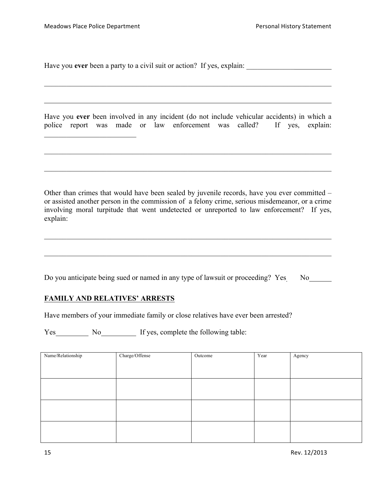$\mathcal{L}_\text{max}$  , where  $\mathcal{L}_\text{max}$  , we have the set of the set of the set of the set of the set of the set of the set of the set of the set of the set of the set of the set of the set of the set of the set of the set of

Have you **ever** been a party to a civil suit or action? If yes, explain: \_\_\_\_\_\_\_\_\_\_\_\_\_

|  |  |  |  |  | Have you ever been involved in any incident (do not include vehicular accidents) in which a |  |  |
|--|--|--|--|--|---------------------------------------------------------------------------------------------|--|--|
|  |  |  |  |  | police report was made or law enforcement was called? If yes, explain:                      |  |  |

 $\mathcal{L}_\text{max}$  , and the contribution of the contribution of the contribution of the contribution of the contribution of the contribution of the contribution of the contribution of the contribution of the contribution of t

 $\mathcal{L}_\mathcal{L} = \{ \mathcal{L}_\mathcal{L} = \{ \mathcal{L}_\mathcal{L} = \{ \mathcal{L}_\mathcal{L} = \{ \mathcal{L}_\mathcal{L} = \{ \mathcal{L}_\mathcal{L} = \{ \mathcal{L}_\mathcal{L} = \{ \mathcal{L}_\mathcal{L} = \{ \mathcal{L}_\mathcal{L} = \{ \mathcal{L}_\mathcal{L} = \{ \mathcal{L}_\mathcal{L} = \{ \mathcal{L}_\mathcal{L} = \{ \mathcal{L}_\mathcal{L} = \{ \mathcal{L}_\mathcal{L} = \{ \mathcal{L}_\mathcal{$ 

 $\mathcal{L}_\mathcal{L} = \{ \mathcal{L}_\mathcal{L} = \{ \mathcal{L}_\mathcal{L} = \{ \mathcal{L}_\mathcal{L} = \{ \mathcal{L}_\mathcal{L} = \{ \mathcal{L}_\mathcal{L} = \{ \mathcal{L}_\mathcal{L} = \{ \mathcal{L}_\mathcal{L} = \{ \mathcal{L}_\mathcal{L} = \{ \mathcal{L}_\mathcal{L} = \{ \mathcal{L}_\mathcal{L} = \{ \mathcal{L}_\mathcal{L} = \{ \mathcal{L}_\mathcal{L} = \{ \mathcal{L}_\mathcal{L} = \{ \mathcal{L}_\mathcal{$ 

Other than crimes that would have been sealed by juvenile records, have you ever committed – or assisted another person in the commission of a felony crime, serious misdemeanor, or a crime involving moral turpitude that went undetected or unreported to law enforcement? If yes, explain:

 $\mathcal{L}_\text{max}$  , and the contribution of the contribution of the contribution of the contribution of the contribution of the contribution of the contribution of the contribution of the contribution of the contribution of t

 $\mathcal{L}_\mathcal{L} = \{ \mathcal{L}_\mathcal{L} = \{ \mathcal{L}_\mathcal{L} = \{ \mathcal{L}_\mathcal{L} = \{ \mathcal{L}_\mathcal{L} = \{ \mathcal{L}_\mathcal{L} = \{ \mathcal{L}_\mathcal{L} = \{ \mathcal{L}_\mathcal{L} = \{ \mathcal{L}_\mathcal{L} = \{ \mathcal{L}_\mathcal{L} = \{ \mathcal{L}_\mathcal{L} = \{ \mathcal{L}_\mathcal{L} = \{ \mathcal{L}_\mathcal{L} = \{ \mathcal{L}_\mathcal{L} = \{ \mathcal{L}_\mathcal{$ 

|  |  |  | Do you anticipate being sued or named in any type of lawsuit or proceeding? Yes No |  |
|--|--|--|------------------------------------------------------------------------------------|--|
|  |  |  |                                                                                    |  |

#### **FAMILY AND RELATIVES' ARRESTS**

Have members of your immediate family or close relatives have ever been arrested?

Yes No If yes, complete the following table:

| Name/Relationship | Charge/Offense | Outcome | Year | Agency |
|-------------------|----------------|---------|------|--------|
|                   |                |         |      |        |
|                   |                |         |      |        |
|                   |                |         |      |        |
|                   |                |         |      |        |
|                   |                |         |      |        |
|                   |                |         |      |        |
|                   |                |         |      |        |
|                   |                |         |      |        |
|                   |                |         |      |        |
|                   |                |         |      |        |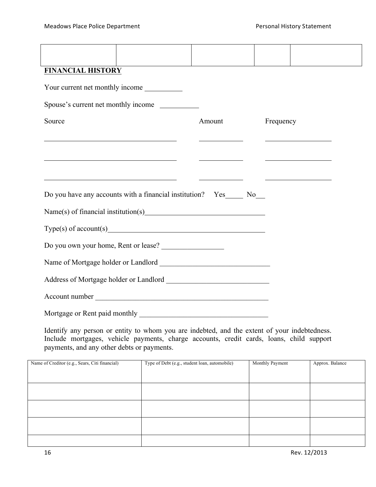| <b>FINANCIAL HISTORY</b>        |                                                                                                                        |                             |           |  |  |  |
|---------------------------------|------------------------------------------------------------------------------------------------------------------------|-----------------------------|-----------|--|--|--|
| Your current net monthly income |                                                                                                                        |                             |           |  |  |  |
|                                 | Spouse's current net monthly income                                                                                    |                             |           |  |  |  |
| Source                          |                                                                                                                        | Amount                      | Frequency |  |  |  |
|                                 |                                                                                                                        |                             |           |  |  |  |
|                                 | <u> 1989 - Johann Stoff, deutscher Stoffen und der Stoffen und der Stoffen und der Stoffen und der Stoffen und der</u> | <u> Andrew Maria (1989)</u> |           |  |  |  |
|                                 | <u> 1990 - Jacques Alexandro III, poet e alexandro de la contrada de la contrada de la contrada de la contrada d</u>   |                             |           |  |  |  |
|                                 | Do you have any accounts with a financial institution? Yes_______ No____                                               |                             |           |  |  |  |
|                                 |                                                                                                                        |                             |           |  |  |  |
|                                 |                                                                                                                        |                             |           |  |  |  |
|                                 | Do you own your home, Rent or lease?                                                                                   |                             |           |  |  |  |
|                                 |                                                                                                                        |                             |           |  |  |  |
|                                 |                                                                                                                        |                             |           |  |  |  |
|                                 | Account number                                                                                                         |                             |           |  |  |  |
|                                 |                                                                                                                        |                             |           |  |  |  |

Identify any person or entity to whom you are indebted, and the extent of your indebtedness. Include mortgages, vehicle payments, charge accounts, credit cards, loans, child support payments, and any other debts or payments.

| Name of Creditor (e.g., Sears, Citi financial) | Type of Debt (e.g., student loan, automobile) | Monthly Payment | Approx. Balance |
|------------------------------------------------|-----------------------------------------------|-----------------|-----------------|
|                                                |                                               |                 |                 |
|                                                |                                               |                 |                 |
|                                                |                                               |                 |                 |
|                                                |                                               |                 |                 |
|                                                |                                               |                 |                 |
|                                                |                                               |                 |                 |
|                                                |                                               |                 |                 |
|                                                |                                               |                 |                 |
|                                                |                                               |                 |                 |
|                                                |                                               |                 |                 |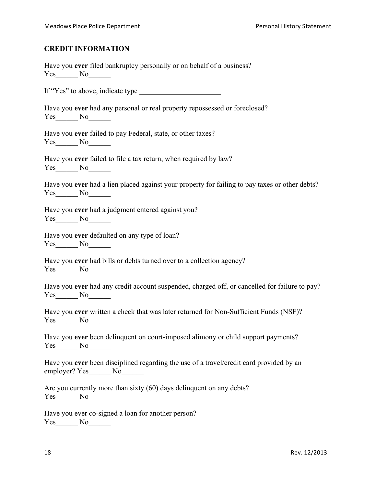#### **CREDIT INFORMATION**

|        | Have you ever filed bankruptcy personally or on behalf of a business? |  |  |
|--------|-----------------------------------------------------------------------|--|--|
| Yes No |                                                                       |  |  |

If "Yes" to above, indicate type

Have you **ever** had any personal or real property repossessed or foreclosed? Yes\_\_\_\_\_\_\_ No\_\_\_\_\_\_

Have you **ever** failed to pay Federal, state, or other taxes? Yes\_\_\_\_\_\_\_ No\_\_\_\_\_\_\_

Have you **ever** failed to file a tax return, when required by law? Yes No

|     | Have you ever had a lien placed against your property for failing to pay taxes or other debts? |  |  |  |  |
|-----|------------------------------------------------------------------------------------------------|--|--|--|--|
| Yes |                                                                                                |  |  |  |  |

Have you **ever** had a judgment entered against you? Yes\_\_\_\_\_\_\_ No\_\_\_\_\_\_\_

Have you **ever** defaulted on any type of loan? Yes\_\_\_\_\_\_\_ No\_\_\_\_\_\_

|     | Have you ever had bills or debts turned over to a collection agency? |
|-----|----------------------------------------------------------------------|
| Yes | $N_{\Omega}$                                                         |

|     |  |  | Have you ever had any credit account suspended, charged off, or cancelled for failure to pay? |  |
|-----|--|--|-----------------------------------------------------------------------------------------------|--|
| Yes |  |  |                                                                                               |  |

|            | Have you ever written a check that was later returned for Non-Sufficient Funds (NSF)? |  |
|------------|---------------------------------------------------------------------------------------|--|
| <b>Yes</b> |                                                                                       |  |

Have you **ever** been delinquent on court-imposed alimony or child support payments? Yes\_\_\_\_\_\_\_ No\_\_\_\_\_\_\_

|               | Have you ever been disciplined regarding the use of a travel/credit card provided by an |  |  |
|---------------|-----------------------------------------------------------------------------------------|--|--|
| employer? Yes | No.                                                                                     |  |  |

|     | Are you currently more than sixty (60) days delinquent on any debts? |  |  |  |
|-----|----------------------------------------------------------------------|--|--|--|
| Yes |                                                                      |  |  |  |

Have you ever co-signed a loan for another person? Yes\_\_\_\_\_\_\_ No\_\_\_\_\_\_\_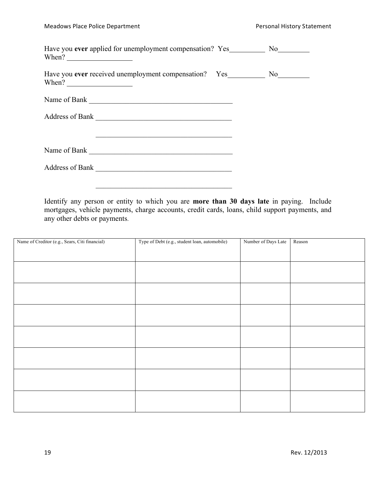| When? $\qquad \qquad$ |  |
|-----------------------|--|
| When? $\qquad \qquad$ |  |
| Name of Bank          |  |
| Address of Bank       |  |
| Name of Bank          |  |
| Address of Bank       |  |

Identify any person or entity to which you are **more than 30 days late** in paying. Include mortgages, vehicle payments, charge accounts, credit cards, loans, child support payments, and any other debts or payments.

| Name of Creditor (e.g., Sears, Citi financial) | Type of Debt (e.g., student loan, automobile) | Number of Days Late | Reason |
|------------------------------------------------|-----------------------------------------------|---------------------|--------|
|                                                |                                               |                     |        |
|                                                |                                               |                     |        |
|                                                |                                               |                     |        |
|                                                |                                               |                     |        |
|                                                |                                               |                     |        |
|                                                |                                               |                     |        |
|                                                |                                               |                     |        |
|                                                |                                               |                     |        |
|                                                |                                               |                     |        |
|                                                |                                               |                     |        |
|                                                |                                               |                     |        |
|                                                |                                               |                     |        |
|                                                |                                               |                     |        |
|                                                |                                               |                     |        |
|                                                |                                               |                     |        |
|                                                |                                               |                     |        |
|                                                |                                               |                     |        |
|                                                |                                               |                     |        |
|                                                |                                               |                     |        |
|                                                |                                               |                     |        |
|                                                |                                               |                     |        |
|                                                |                                               |                     |        |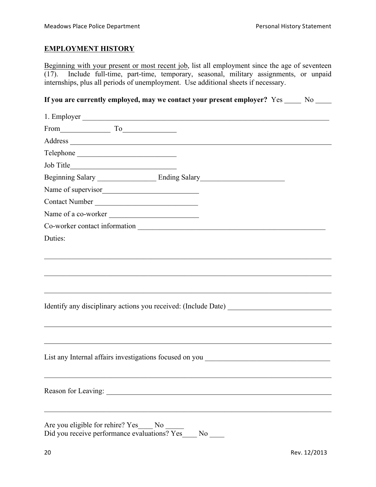### **EMPLOYMENT HISTORY**

Beginning with your present or most recent job, list all employment since the age of seventeen (17). Include full-time, part-time, temporary, seasonal, military assignments, or unpaid internships, plus all periods of unemployment. Use additional sheets if necessary.

**If you are currently employed, may we contact your present employer?** Yes No No

| 1. Employer                                                                       |
|-----------------------------------------------------------------------------------|
| $From$ $To$                                                                       |
|                                                                                   |
|                                                                                   |
|                                                                                   |
|                                                                                   |
| Name of supervisor                                                                |
| Contact Number                                                                    |
| Name of a co-worker                                                               |
|                                                                                   |
| Duties:                                                                           |
|                                                                                   |
|                                                                                   |
|                                                                                   |
|                                                                                   |
|                                                                                   |
|                                                                                   |
|                                                                                   |
|                                                                                   |
|                                                                                   |
| List any Internal affairs investigations focused on you _________________________ |
|                                                                                   |
|                                                                                   |
| Reason for Leaving:                                                               |
|                                                                                   |
| Are you eligible for rehire? Yes____ No                                           |
| Did you receive performance evaluations? Yes<br>$No$ <sub>--</sub>                |
|                                                                                   |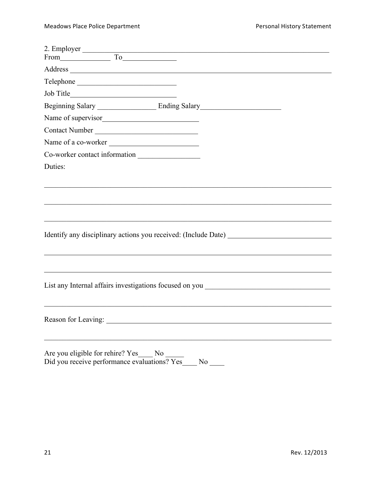| Job Title<br><u> 1989 - Johann Barbara, martin di</u>                                                       |
|-------------------------------------------------------------------------------------------------------------|
| Beginning Salary Ending Salary Ending Salary                                                                |
|                                                                                                             |
| Contact Number                                                                                              |
| Name of a co-worker                                                                                         |
| Co-worker contact information                                                                               |
| Duties:                                                                                                     |
|                                                                                                             |
|                                                                                                             |
|                                                                                                             |
|                                                                                                             |
|                                                                                                             |
|                                                                                                             |
|                                                                                                             |
|                                                                                                             |
|                                                                                                             |
| List any Internal affairs investigations focused on you _________________________                           |
|                                                                                                             |
|                                                                                                             |
|                                                                                                             |
|                                                                                                             |
|                                                                                                             |
| Are you eligible for rehire? Yes No _____<br>Did you receive performance evaluations? Yes<br>N <sub>0</sub> |
|                                                                                                             |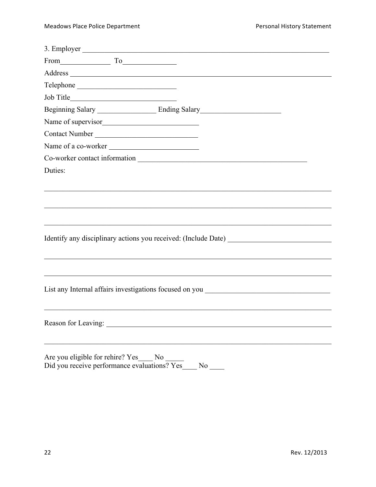| 3. Employer                                                                       |
|-----------------------------------------------------------------------------------|
| From To To                                                                        |
|                                                                                   |
|                                                                                   |
|                                                                                   |
|                                                                                   |
| Name of supervisor                                                                |
| Contact Number                                                                    |
| Name of a co-worker                                                               |
|                                                                                   |
| Duties:                                                                           |
|                                                                                   |
|                                                                                   |
|                                                                                   |
|                                                                                   |
|                                                                                   |
|                                                                                   |
|                                                                                   |
|                                                                                   |
|                                                                                   |
| List any Internal affairs investigations focused on you _________________________ |
|                                                                                   |
|                                                                                   |
|                                                                                   |
|                                                                                   |
| Are you eligible for rehire? Yes<br>N <sub>0</sub>                                |
|                                                                                   |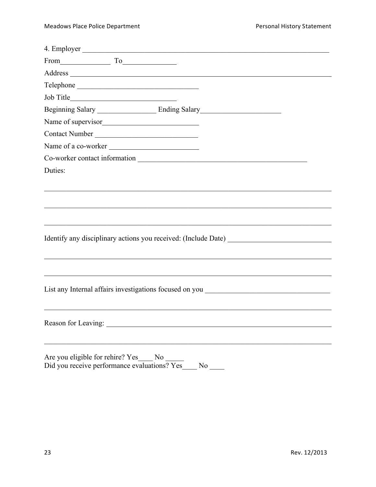| 4. Employer                                                                                                                                                                                                                    |
|--------------------------------------------------------------------------------------------------------------------------------------------------------------------------------------------------------------------------------|
| From To                                                                                                                                                                                                                        |
|                                                                                                                                                                                                                                |
| Telephone                                                                                                                                                                                                                      |
|                                                                                                                                                                                                                                |
|                                                                                                                                                                                                                                |
| Name of supervisor                                                                                                                                                                                                             |
| Contact Number                                                                                                                                                                                                                 |
| Name of a co-worker                                                                                                                                                                                                            |
|                                                                                                                                                                                                                                |
| Duties:                                                                                                                                                                                                                        |
|                                                                                                                                                                                                                                |
|                                                                                                                                                                                                                                |
|                                                                                                                                                                                                                                |
|                                                                                                                                                                                                                                |
|                                                                                                                                                                                                                                |
|                                                                                                                                                                                                                                |
|                                                                                                                                                                                                                                |
|                                                                                                                                                                                                                                |
|                                                                                                                                                                                                                                |
| List any Internal affairs investigations focused on you _________________________                                                                                                                                              |
|                                                                                                                                                                                                                                |
|                                                                                                                                                                                                                                |
| Reason for Leaving: New York Changes and Security and Security and Security and Security and Security and Security and Security and Security and Security and Security and Security and Security and Security and Security and |
|                                                                                                                                                                                                                                |
| Are you eligible for rehire? Yes<br>N <sub>0</sub>                                                                                                                                                                             |
|                                                                                                                                                                                                                                |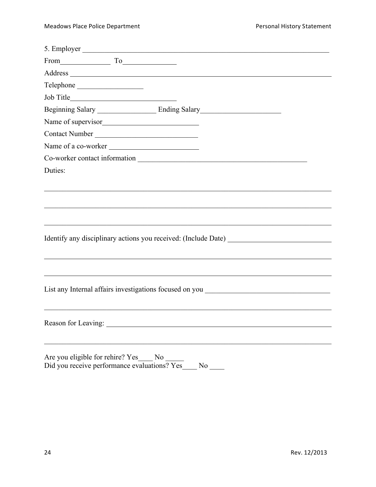| 5. Employer                                                                       |
|-----------------------------------------------------------------------------------|
| From To                                                                           |
|                                                                                   |
| Telephone                                                                         |
|                                                                                   |
|                                                                                   |
| Name of supervisor                                                                |
| Contact Number                                                                    |
| Name of a co-worker                                                               |
|                                                                                   |
| Duties:                                                                           |
|                                                                                   |
|                                                                                   |
|                                                                                   |
|                                                                                   |
|                                                                                   |
|                                                                                   |
|                                                                                   |
|                                                                                   |
|                                                                                   |
| List any Internal affairs investigations focused on you _________________________ |
|                                                                                   |
|                                                                                   |
|                                                                                   |
|                                                                                   |
| Are you eligible for rehire? Yes_<br>N <sub>0</sub>                               |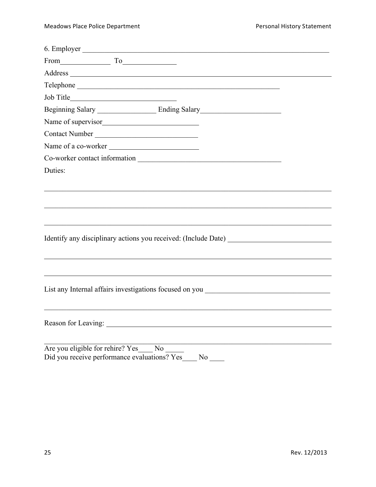| $From$ $To$                                                                         |
|-------------------------------------------------------------------------------------|
|                                                                                     |
| Telephone                                                                           |
|                                                                                     |
|                                                                                     |
| Name of supervisor                                                                  |
| Contact Number                                                                      |
| Name of a co-worker                                                                 |
|                                                                                     |
| Duties:                                                                             |
|                                                                                     |
|                                                                                     |
|                                                                                     |
|                                                                                     |
|                                                                                     |
|                                                                                     |
|                                                                                     |
|                                                                                     |
|                                                                                     |
| List any Internal affairs investigations focused on you _________________________   |
|                                                                                     |
|                                                                                     |
|                                                                                     |
|                                                                                     |
| Are you eligible for rehire? Yes No<br>Did you receive performance evaluations? Yes |
| $No$ <sub>——</sub>                                                                  |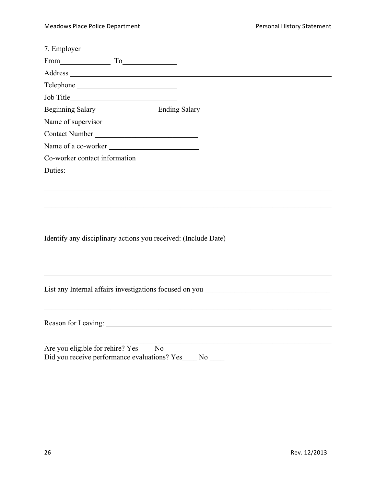| 7. Employer                                                                                                                                                                                                                    |
|--------------------------------------------------------------------------------------------------------------------------------------------------------------------------------------------------------------------------------|
| From To To                                                                                                                                                                                                                     |
|                                                                                                                                                                                                                                |
|                                                                                                                                                                                                                                |
|                                                                                                                                                                                                                                |
|                                                                                                                                                                                                                                |
| Name of supervisor                                                                                                                                                                                                             |
| Contact Number                                                                                                                                                                                                                 |
| Name of a co-worker                                                                                                                                                                                                            |
| Co-worker contact information exercises and the contract of the contract of the contract of the contract of the contract of the contract of the contract of the contract of the contract of the contract of the contract of th |
| Duties:                                                                                                                                                                                                                        |
|                                                                                                                                                                                                                                |
|                                                                                                                                                                                                                                |
|                                                                                                                                                                                                                                |
|                                                                                                                                                                                                                                |
|                                                                                                                                                                                                                                |
|                                                                                                                                                                                                                                |
|                                                                                                                                                                                                                                |
|                                                                                                                                                                                                                                |
|                                                                                                                                                                                                                                |
| List any Internal affairs investigations focused on you _________________________                                                                                                                                              |
|                                                                                                                                                                                                                                |
|                                                                                                                                                                                                                                |
|                                                                                                                                                                                                                                |
|                                                                                                                                                                                                                                |
| Are you eligible for rehire? Yes____ No __<br>Did you receive performance evaluations? Yes<br>N <sub>o</sub>                                                                                                                   |
|                                                                                                                                                                                                                                |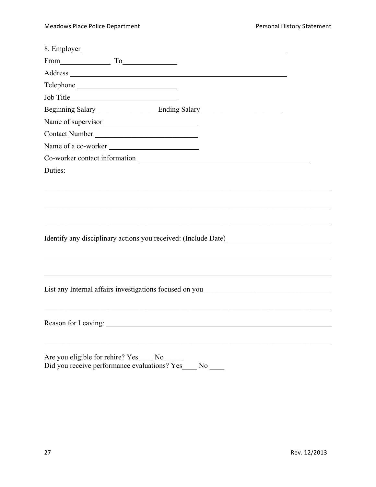| 8. Employer                                                                       |                |  |  |
|-----------------------------------------------------------------------------------|----------------|--|--|
| $From$ $To$                                                                       |                |  |  |
|                                                                                   |                |  |  |
|                                                                                   |                |  |  |
|                                                                                   |                |  |  |
|                                                                                   |                |  |  |
| Name of supervisor                                                                |                |  |  |
| Contact Number                                                                    |                |  |  |
| Name of a co-worker                                                               |                |  |  |
|                                                                                   |                |  |  |
| Duties:                                                                           |                |  |  |
|                                                                                   |                |  |  |
|                                                                                   |                |  |  |
|                                                                                   |                |  |  |
|                                                                                   |                |  |  |
|                                                                                   |                |  |  |
|                                                                                   |                |  |  |
|                                                                                   |                |  |  |
|                                                                                   |                |  |  |
|                                                                                   |                |  |  |
| List any Internal affairs investigations focused on you _________________________ |                |  |  |
|                                                                                   |                |  |  |
|                                                                                   |                |  |  |
|                                                                                   |                |  |  |
|                                                                                   |                |  |  |
| Are you eligible for rehire? Yes                                                  |                |  |  |
|                                                                                   | N <sub>0</sub> |  |  |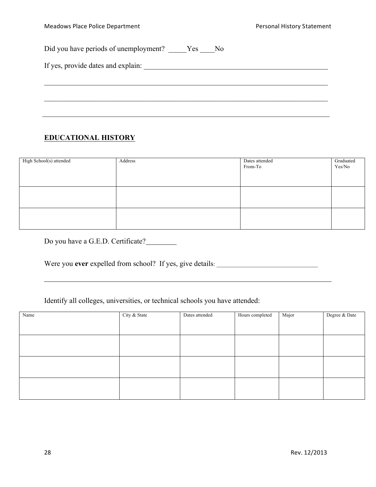$I$  yes, provide data and explaining data and explaining  $\mathcal{I}$ 

Did you have periods of unemployment? \_\_\_\_\_Yes \_\_\_\_No

|  |  | If yes, provide dates and explain: |  |
|--|--|------------------------------------|--|
|  |  |                                    |  |

## **EDUCATIONAL HISTORY**

| High School(s) attended | Address | Dates attended<br>From-To | Graduated<br>Yes/No |
|-------------------------|---------|---------------------------|---------------------|
|                         |         |                           |                     |
|                         |         |                           |                     |

 $\mathcal{L}_\mathcal{L} = \{ \mathcal{L}_\mathcal{L} = \{ \mathcal{L}_\mathcal{L} = \{ \mathcal{L}_\mathcal{L} = \{ \mathcal{L}_\mathcal{L} = \{ \mathcal{L}_\mathcal{L} = \{ \mathcal{L}_\mathcal{L} = \{ \mathcal{L}_\mathcal{L} = \{ \mathcal{L}_\mathcal{L} = \{ \mathcal{L}_\mathcal{L} = \{ \mathcal{L}_\mathcal{L} = \{ \mathcal{L}_\mathcal{L} = \{ \mathcal{L}_\mathcal{L} = \{ \mathcal{L}_\mathcal{L} = \{ \mathcal{L}_\mathcal{$ 

 $\mathcal{L}_\mathcal{L} = \{ \mathcal{L}_\mathcal{L} = \{ \mathcal{L}_\mathcal{L} = \{ \mathcal{L}_\mathcal{L} = \{ \mathcal{L}_\mathcal{L} = \{ \mathcal{L}_\mathcal{L} = \{ \mathcal{L}_\mathcal{L} = \{ \mathcal{L}_\mathcal{L} = \{ \mathcal{L}_\mathcal{L} = \{ \mathcal{L}_\mathcal{L} = \{ \mathcal{L}_\mathcal{L} = \{ \mathcal{L}_\mathcal{L} = \{ \mathcal{L}_\mathcal{L} = \{ \mathcal{L}_\mathcal{L} = \{ \mathcal{L}_\mathcal{$ 

 $\mathcal{L}_\text{max}$  , and the contribution of the contribution of the contribution of the contribution of the contribution of the contribution of the contribution of the contribution of the contribution of the contribution of t

Do you have a G.E.D. Certificate?

Were you **ever** expelled from school? If yes, give details:

Identify all colleges, universities, or technical schools you have attended:

| Name | City & State | Dates attended | Hours completed | Major | Degree & Date |
|------|--------------|----------------|-----------------|-------|---------------|
|      |              |                |                 |       |               |
|      |              |                |                 |       |               |
|      |              |                |                 |       |               |
|      |              |                |                 |       |               |
|      |              |                |                 |       |               |
|      |              |                |                 |       |               |
|      |              |                |                 |       |               |
|      |              |                |                 |       |               |
|      |              |                |                 |       |               |
|      |              |                |                 |       |               |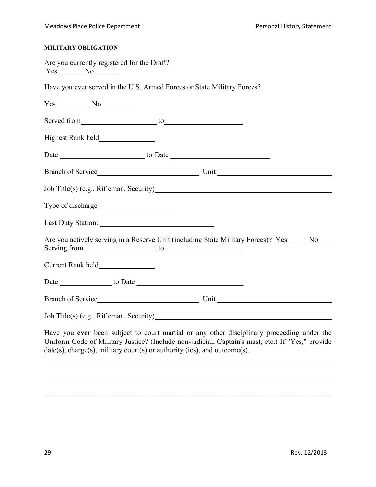#### **MILITARY OBLIGATION**

| Are you currently registered for the Draft?<br>$Yes$ No $No$                                                                                                                                                                   |                                                                                                                                                                                                |
|--------------------------------------------------------------------------------------------------------------------------------------------------------------------------------------------------------------------------------|------------------------------------------------------------------------------------------------------------------------------------------------------------------------------------------------|
| Have you ever served in the U.S. Armed Forces or State Military Forces?                                                                                                                                                        |                                                                                                                                                                                                |
| $Yes$ No $No$                                                                                                                                                                                                                  |                                                                                                                                                                                                |
|                                                                                                                                                                                                                                |                                                                                                                                                                                                |
|                                                                                                                                                                                                                                |                                                                                                                                                                                                |
|                                                                                                                                                                                                                                |                                                                                                                                                                                                |
|                                                                                                                                                                                                                                |                                                                                                                                                                                                |
|                                                                                                                                                                                                                                |                                                                                                                                                                                                |
|                                                                                                                                                                                                                                |                                                                                                                                                                                                |
|                                                                                                                                                                                                                                |                                                                                                                                                                                                |
| Serving from to to the contract of the contract of the contract of the contract of the contract of the contract of the contract of the contract of the contract of the contract of the contract of the contract of the contrac | Are you actively serving in a Reserve Unit (including State Military Forces)? Yes ____ No___                                                                                                   |
|                                                                                                                                                                                                                                |                                                                                                                                                                                                |
|                                                                                                                                                                                                                                |                                                                                                                                                                                                |
|                                                                                                                                                                                                                                |                                                                                                                                                                                                |
|                                                                                                                                                                                                                                | $Job\ Title(s) (e.g., Rifleman, Security)$                                                                                                                                                     |
| $date(s)$ , charge(s), military court(s) or authority (ies), and outcome(s).                                                                                                                                                   | Have you ever been subject to court martial or any other disciplinary proceeding under the<br>Uniform Code of Military Justice? (Include non-judicial, Captain's mast, etc.) If "Yes," provide |

 $\mathcal{L}_\mathcal{L} = \{ \mathcal{L}_\mathcal{L} = \{ \mathcal{L}_\mathcal{L} = \{ \mathcal{L}_\mathcal{L} = \{ \mathcal{L}_\mathcal{L} = \{ \mathcal{L}_\mathcal{L} = \{ \mathcal{L}_\mathcal{L} = \{ \mathcal{L}_\mathcal{L} = \{ \mathcal{L}_\mathcal{L} = \{ \mathcal{L}_\mathcal{L} = \{ \mathcal{L}_\mathcal{L} = \{ \mathcal{L}_\mathcal{L} = \{ \mathcal{L}_\mathcal{L} = \{ \mathcal{L}_\mathcal{L} = \{ \mathcal{L}_\mathcal{$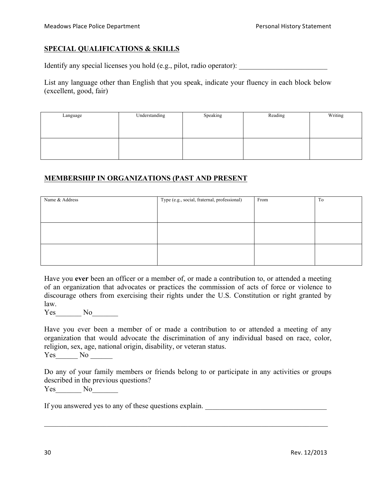#### **SPECIAL QUALIFICATIONS & SKILLS**

Identify any special licenses you hold  $(e.g., pilot, radio operator)$ :

List any language other than English that you speak, indicate your fluency in each block below (excellent, good, fair)

| Language | Understanding | Speaking | Reading | Writing |
|----------|---------------|----------|---------|---------|
|          |               |          |         |         |
|          |               |          |         |         |
|          |               |          |         |         |
|          |               |          |         |         |
|          |               |          |         |         |
|          |               |          |         |         |

#### **MEMBERSHIP IN ORGANIZATIONS (PAST AND PRESENT**

| Name & Address | Type (e.g., social, fraternal, professional) | From | To |
|----------------|----------------------------------------------|------|----|
|                |                                              |      |    |
|                |                                              |      |    |
|                |                                              |      |    |
|                |                                              |      |    |
|                |                                              |      |    |
|                |                                              |      |    |

Have you **ever** been an officer or a member of, or made a contribution to, or attended a meeting of an organization that advocates or practices the commission of acts of force or violence to discourage others from exercising their rights under the U.S. Constitution or right granted by law.

Yes\_\_\_\_\_\_\_\_\_ No\_\_\_\_\_\_\_\_

Have you ever been a member of or made a contribution to or attended a meeting of any organization that would advocate the discrimination of any individual based on race, color, religion, sex, age, national origin, disability, or veteran status.

 $Yes$  No  $\_\_$ 

Do any of your family members or friends belong to or participate in any activities or groups described in the previous questions? Yes No

 $\mathcal{L}_\mathcal{L} = \{ \mathcal{L}_\mathcal{L} = \{ \mathcal{L}_\mathcal{L} = \{ \mathcal{L}_\mathcal{L} = \{ \mathcal{L}_\mathcal{L} = \{ \mathcal{L}_\mathcal{L} = \{ \mathcal{L}_\mathcal{L} = \{ \mathcal{L}_\mathcal{L} = \{ \mathcal{L}_\mathcal{L} = \{ \mathcal{L}_\mathcal{L} = \{ \mathcal{L}_\mathcal{L} = \{ \mathcal{L}_\mathcal{L} = \{ \mathcal{L}_\mathcal{L} = \{ \mathcal{L}_\mathcal{L} = \{ \mathcal{L}_\mathcal{$ 

If you answered yes to any of these questions explain.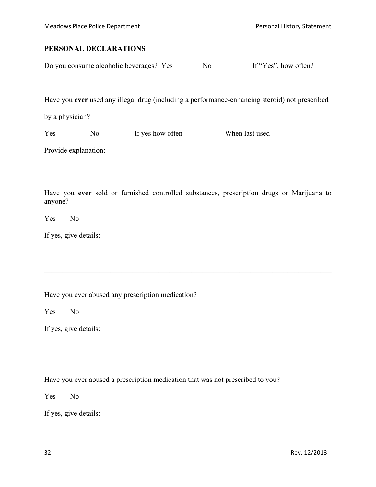# **PERSONAL DECLARATIONS**

|                                 | Do you consume alcoholic beverages? Yes No No If "Yes", how often?                                                                                                                                                                                                                                                 |  |  |
|---------------------------------|--------------------------------------------------------------------------------------------------------------------------------------------------------------------------------------------------------------------------------------------------------------------------------------------------------------------|--|--|
|                                 | Have you ever used any illegal drug (including a performance-enhancing steroid) not prescribed<br>by a physician?                                                                                                                                                                                                  |  |  |
|                                 |                                                                                                                                                                                                                                                                                                                    |  |  |
|                                 | Provide explanation: Note that the contract of the contract of the contract of the contract of the contract of the contract of the contract of the contract of the contract of the contract of the contract of the contract of<br>,我们也不能在这里的时候,我们也不能在这里的时候,我们也不能在这里的时候,我们也不能会在这里的时候,我们也不能会在这里的时候,我们也不能会在这里的时候,我们也不 |  |  |
| anyone?                         | Have you ever sold or furnished controlled substances, prescription drugs or Marijuana to                                                                                                                                                                                                                          |  |  |
| $Yes$ No $\_\_$                 |                                                                                                                                                                                                                                                                                                                    |  |  |
|                                 |                                                                                                                                                                                                                                                                                                                    |  |  |
|                                 |                                                                                                                                                                                                                                                                                                                    |  |  |
|                                 | Have you ever abused any prescription medication?                                                                                                                                                                                                                                                                  |  |  |
| Yes No<br>If yes, give details: |                                                                                                                                                                                                                                                                                                                    |  |  |
|                                 | Have you ever abused a prescription medication that was not prescribed to you?                                                                                                                                                                                                                                     |  |  |
| $Yes$ No $\_\_$                 |                                                                                                                                                                                                                                                                                                                    |  |  |
|                                 | If yes, give details: 100 million and the same state of the state of the state of the state of the state of the state of the state of the state of the state of the state of the state of the state of the state of the state                                                                                      |  |  |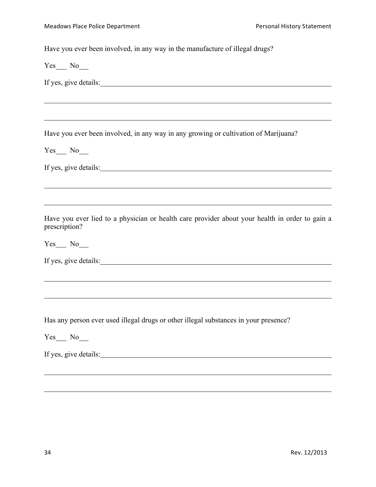Have you ever been involved, in any way in the manufacture of illegal drugs?

Yes No

If yes, give details:

Have you ever been involved, in any way in any growing or cultivation of Marijuana?

<u> 1989 - Johann Stoff, amerikansk politiker (d. 1989)</u>

 $Yes$  No  $N$ 

If yes, give details:

Have you ever lied to a physician or health care provider about your health in order to gain a prescription?

<u> 1989 - Johann Stoff, amerikansk politiker (d. 1989)</u>

Yes No

|  | If yes, give details: |
|--|-----------------------|
|  |                       |

Has any person ever used illegal drugs or other illegal substances in your presence?

Yes No

If yes, give details: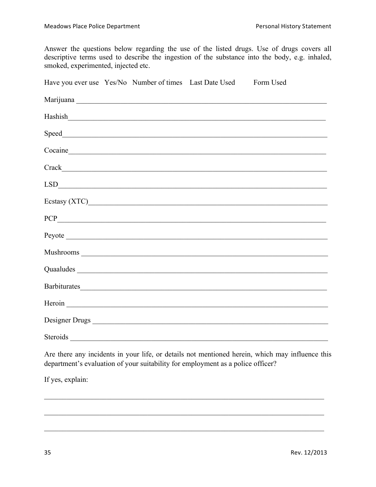Answer the questions below regarding the use of the listed drugs. Use of drugs covers all descriptive terms used to describe the ingestion of the substance into the body, e.g. inhaled, smoked, experimented, injected etc.

| Have you ever use Yes/No Number of times Last Date Used Form Used |  |                                                                                                                                                                                                                                |  |
|-------------------------------------------------------------------|--|--------------------------------------------------------------------------------------------------------------------------------------------------------------------------------------------------------------------------------|--|
|                                                                   |  |                                                                                                                                                                                                                                |  |
|                                                                   |  | Hashish and the contract of the contract of the contract of the contract of the contract of the contract of the contract of the contract of the contract of the contract of the contract of the contract of the contract of th |  |
|                                                                   |  |                                                                                                                                                                                                                                |  |
|                                                                   |  | Cocaine et al. 2010 and 2010 and 2010 and 2010 and 2010 and 2010 and 2010 and 2010 and 2010 and 201                                                                                                                            |  |
|                                                                   |  |                                                                                                                                                                                                                                |  |
|                                                                   |  | LSD                                                                                                                                                                                                                            |  |
|                                                                   |  |                                                                                                                                                                                                                                |  |
|                                                                   |  | PCP                                                                                                                                                                                                                            |  |
|                                                                   |  |                                                                                                                                                                                                                                |  |
|                                                                   |  |                                                                                                                                                                                                                                |  |
|                                                                   |  |                                                                                                                                                                                                                                |  |
|                                                                   |  |                                                                                                                                                                                                                                |  |
|                                                                   |  |                                                                                                                                                                                                                                |  |
|                                                                   |  |                                                                                                                                                                                                                                |  |
| Steroids                                                          |  |                                                                                                                                                                                                                                |  |

Are there any incidents in your life, or details not mentioned herein, which may influence this department's evaluation of your suitability for employment as a police officer?

If yes, explain: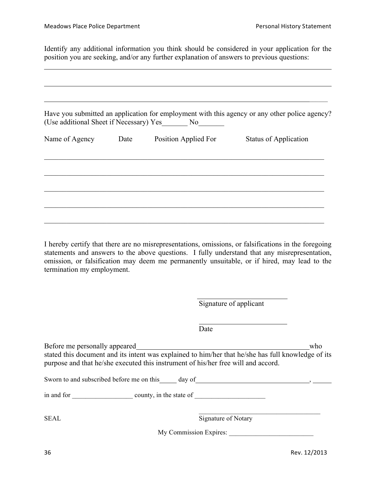Identify any additional information you think should be considered in your application for the position you are seeking, and/or any further explanation of answers to previous questions:

|                     | (Use additional Sheet if Necessary) Yes No | Have you submitted an application for employment with this agency or any other police agency? |
|---------------------|--------------------------------------------|-----------------------------------------------------------------------------------------------|
| Name of Agency Date | Position Applied For                       | <b>Status of Application</b>                                                                  |
|                     |                                            |                                                                                               |
|                     |                                            |                                                                                               |
|                     |                                            |                                                                                               |

I hereby certify that there are no misrepresentations, omissions, or falsifications in the foregoing statements and answers to the above questions. I fully understand that any misrepresentation, omission, or falsification may deem me permanently unsuitable, or if hired, may lead to the termination my employment.

|                               | Signature of applicant                                                                                                                                                                  |     |
|-------------------------------|-----------------------------------------------------------------------------------------------------------------------------------------------------------------------------------------|-----|
|                               | Date                                                                                                                                                                                    |     |
| Before me personally appeared | stated this document and its intent was explained to him/her that he/she has full knowledge of its<br>purpose and that he/she executed this instrument of his/her free will and accord. | who |
|                               |                                                                                                                                                                                         |     |
| <b>SEAL</b>                   | Signature of Notary                                                                                                                                                                     |     |
|                               | My Commission Expires:                                                                                                                                                                  |     |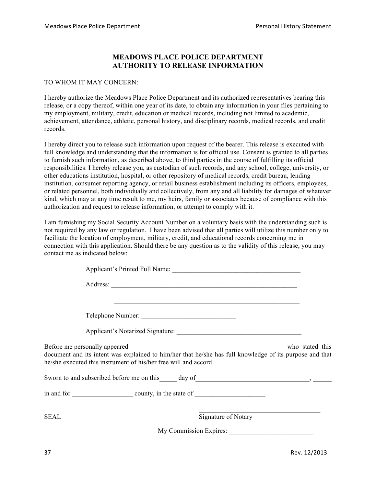#### **MEADOWS PLACE POLICE DEPARTMENT AUTHORITY TO RELEASE INFORMATION**

#### TO WHOM IT MAY CONCERN:

I hereby authorize the Meadows Place Police Department and its authorized representatives bearing this release, or a copy thereof, within one year of its date, to obtain any information in your files pertaining to my employment, military, credit, education or medical records, including not limited to academic, achievement, attendance, athletic, personal history, and disciplinary records, medical records, and credit records.

I hereby direct you to release such information upon request of the bearer. This release is executed with full knowledge and understanding that the information is for official use. Consent is granted to all parties to furnish such information, as described above, to third parties in the course of fulfilling its official responsibilities. I hereby release you, as custodian of such records, and any school, college, university, or other educations institution, hospital, or other repository of medical records, credit bureau, lending institution, consumer reporting agency, or retail business establishment including its officers, employees, or related personnel, both individually and collectively, from any and all liability for damages of whatever kind, which may at any time result to me, my heirs, family or associates because of compliance with this authorization and request to release information, or attempt to comply with it.

I am furnishing my Social Security Account Number on a voluntary basis with the understanding such is not required by any law or regulation. I have been advised that all parties will utilize this number only to facilitate the location of employment, military, credit, and educational records concerning me in connection with this application. Should there be any question as to the validity of this release, you may contact me as indicated below:

| Telephone Number:                                                                                                                                                                                                              |  |
|--------------------------------------------------------------------------------------------------------------------------------------------------------------------------------------------------------------------------------|--|
|                                                                                                                                                                                                                                |  |
| document and its intent was explained to him/her that he/she has full knowledge of its purpose and that<br>he/she executed this instrument of his/her free will and accord.                                                    |  |
| Sworn to and subscribed before me on this day of day of the subset of the subset of the subset of the subset of the subset of the subset of the subset of the subset of the subset of the subset of the subset of the subset o |  |
|                                                                                                                                                                                                                                |  |
| Signature of Notary<br>SEAL                                                                                                                                                                                                    |  |
|                                                                                                                                                                                                                                |  |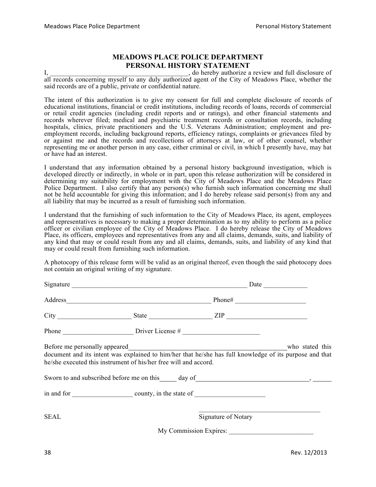#### **MEADOWS PLACE POLICE DEPARTMENT PERSONAL HISTORY STATEMENT**

I, the end of the contract of the contract of the contract of the contract of the contract of the contract of the contract of the contract of the contract of the contract of the contract of the contract of the contract of all records concerning myself to any duly authorized agent of the City of Meadows Place, whether the said records are of a public, private or confidential nature.

The intent of this authorization is to give my consent for full and complete disclosure of records of educational institutions, financial or credit institutions, including records of loans, records of commercial or retail credit agencies (including credit reports and or ratings), and other financial statements and records wherever filed; medical and psychiatric treatment records or consultation records, including hospitals, clinics, private practitioners and the U.S. Veterans Administration; employment and preemployment records, including background reports, efficiency ratings, complaints or grievances filed by or against me and the records and recollections of attorneys at law, or of other counsel, whether representing me or another person in any case, either criminal or civil, in which I presently have, may hat or have had an interest.

I understand that any information obtained by a personal history background investigation, which is developed directly or indirectly, in whole or in part, upon this release authorization will be considered in determining my suitability for employment with the City of Meadows Place and the Meadows Place Police Department. I also certify that any person(s) who furnish such information concerning me shall not be held accountable for giving this information; and I do hereby release said person(s) from any and all liability that may be incurred as a result of furnishing such information.

I understand that the furnishing of such information to the City of Meadows Place, its agent, employees and representatives is necessary to making a proper determination as to my ability to perform as a police officer or civilian employee of the City of Meadows Place. I do hereby release the City of Meadows Place, its officers, employees and representatives from any and all claims, demands, suits, and liability of any kind that may or could result from any and all claims, demands, suits, and liability of any kind that may or could result from furnishing such information.

A photocopy of this release form will be valid as an original thereof, even though the said photocopy does not contain an original writing of my signature.

|      | $City$ $III$                                                                                                                                                                                                                                                                                                                                                                                                  |                                               |  |
|------|---------------------------------------------------------------------------------------------------------------------------------------------------------------------------------------------------------------------------------------------------------------------------------------------------------------------------------------------------------------------------------------------------------------|-----------------------------------------------|--|
|      | Phone $\frac{1}{\sqrt{1-\frac{1}{2}}\sqrt{1-\frac{1}{2}}\sqrt{1-\frac{1}{2}}\sqrt{1-\frac{1}{2}}\sqrt{1-\frac{1}{2}}\sqrt{1-\frac{1}{2}}\sqrt{1-\frac{1}{2}}\sqrt{1-\frac{1}{2}}\sqrt{1-\frac{1}{2}}\sqrt{1-\frac{1}{2}}\sqrt{1-\frac{1}{2}}\sqrt{1-\frac{1}{2}}\sqrt{1-\frac{1}{2}}\sqrt{1-\frac{1}{2}}\sqrt{1-\frac{1}{2}}\sqrt{1-\frac{1}{2}}\sqrt{1-\frac{1}{2}}\sqrt{1-\frac{1}{2}}\sqrt{1-\frac{1}{2}}$ |                                               |  |
|      | document and its intent was explained to him/her that he/she has full knowledge of its purpose and that<br>he/she executed this instrument of his/her free will and accord.<br>Sworn to and subscribed before me on this day of day of the state of the state of the state of the state of the state of the state of the state of the state of the state of the state of the state of the state of the state  |                                               |  |
|      |                                                                                                                                                                                                                                                                                                                                                                                                               |                                               |  |
| SEAL |                                                                                                                                                                                                                                                                                                                                                                                                               | Signature of Notary<br>My Commission Expires: |  |
|      |                                                                                                                                                                                                                                                                                                                                                                                                               |                                               |  |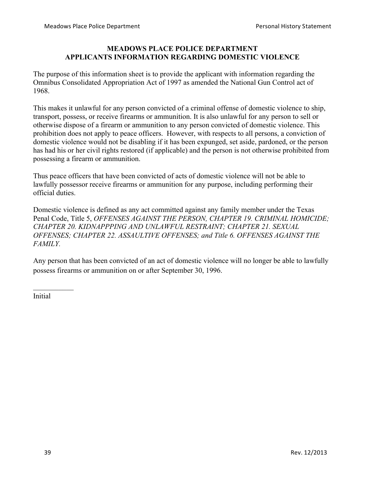#### **MEADOWS PLACE POLICE DEPARTMENT APPLICANTS INFORMATION REGARDING DOMESTIC VIOLENCE**

The purpose of this information sheet is to provide the applicant with information regarding the Omnibus Consolidated Appropriation Act of 1997 as amended the National Gun Control act of 1968.

This makes it unlawful for any person convicted of a criminal offense of domestic violence to ship, transport, possess, or receive firearms or ammunition. It is also unlawful for any person to sell or otherwise dispose of a firearm or ammunition to any person convicted of domestic violence. This prohibition does not apply to peace officers. However, with respects to all persons, a conviction of domestic violence would not be disabling if it has been expunged, set aside, pardoned, or the person has had his or her civil rights restored (if applicable) and the person is not otherwise prohibited from possessing a firearm or ammunition.

Thus peace officers that have been convicted of acts of domestic violence will not be able to lawfully possessor receive firearms or ammunition for any purpose, including performing their official duties.

Domestic violence is defined as any act committed against any family member under the Texas Penal Code, Title 5, *OFFENSES AGAINST THE PERSON, CHAPTER 19. CRIMINAL HOMICIDE; CHAPTER 20. KIDNAPPPING AND UNLAWFUL RESTRAINT; CHAPTER 21. SEXUAL OFFENSES; CHAPTER 22. ASSAULTIVE OFFENSES; and Title 6. OFFENSES AGAINST THE FAMILY.*

Any person that has been convicted of an act of domestic violence will no longer be able to lawfully possess firearms or ammunition on or after September 30, 1996.

Initial

 $\mathcal{L}_\text{max}$